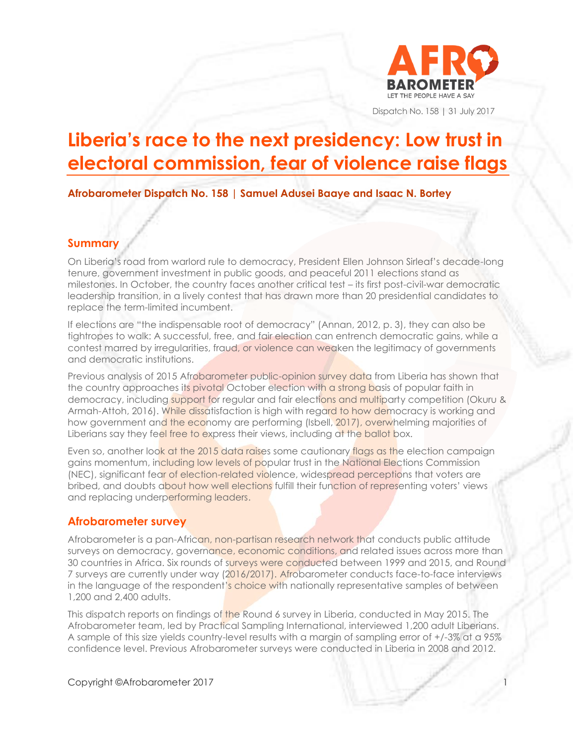

Dispatch No. 158 | 31 July 2017

# **Liberia's race to the next presidency: Low trust in electoral commission, fear of violence raise flags**

**Afrobarometer Dispatch No. 158 | Samuel Adusei Baaye and Isaac N. Bortey**

#### **Summary**

On Liberia's road from warlord rule to democracy, President Ellen Johnson Sirleaf's decade-long tenure, government investment in public goods, and peaceful 2011 elections stand as milestones. In October, the country faces another critical test – its first post-civil-war democratic leadership transition, in a lively contest that has drawn more than 20 presidential candidates to replace the term-limited incumbent.

If elections are "the indispensable root of democracy" (Annan, 2012, p. 3), they can also be tightropes to walk: A successful, free, and fair election can entrench democratic gains, while a contest marred by irregularities, fraud, or violence can weaken the legitimacy of governments and democratic institutions.

Previous analysis of 2015 Afrobarometer public-opinion survey data from Liberia has shown that the country approaches its pivotal October election with a strong basis of popular faith in democracy, including support for regular and fair elections and multiparty competition (Okuru & Armah-Attoh, 2016). While dissatisfaction is high with regard to how democracy is working and how government and the economy are performing (Isbell, 2017), overwhelming majorities of Liberians say they feel free to express their views, including at the ballot box.

Even so, another look at the 2015 data raises some cautionary flags as the election campaign gains momentum, including low levels of popular trust in the National Elections Commission (NEC), significant fear of election-related violence, widespread perceptions that voters are bribed, and doubts about how well elections fulfill their function of representing voters' views and replacing underperforming leaders.

## **Afrobarometer survey**

Afrobarometer is a pan-African, non-partisan research network that conducts public attitude surveys on democracy, governance, economic conditions, and related issues across more than 30 countries in Africa. Six rounds of surveys were conducted between 1999 and 2015, and Round 7 surveys are currently under way (2016/2017). Afrobarometer conducts face-to-face interviews in the language of the respondent's choice with nationally representative samples of between 1,200 and 2,400 adults.

This dispatch reports on findings of the Round 6 survey in Liberia, conducted in May 2015. The Afrobarometer team, led by Practical Sampling International, interviewed 1,200 adult Liberians. A sample of this size yields country-level results with a margin of sampling error of +/-3% at a 95% confidence level. Previous Afrobarometer surveys were conducted in Liberia in 2008 and 2012.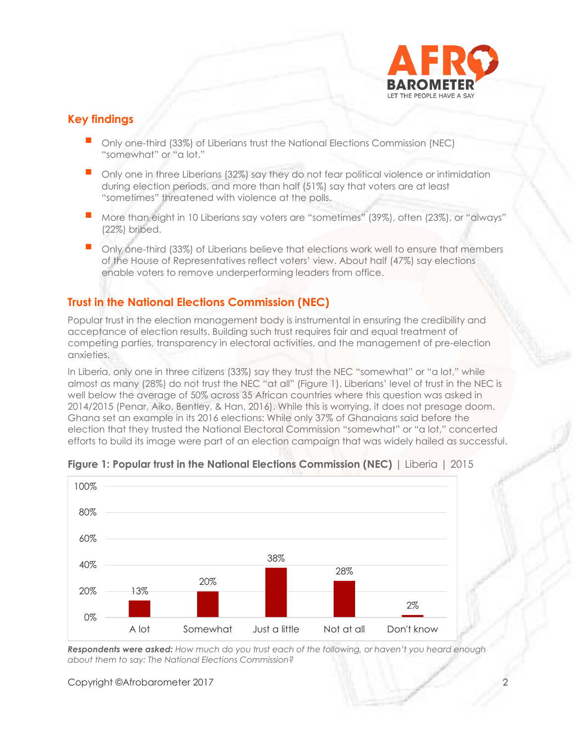

## **Key findings**

- Only one-third (33%) of Liberians trust the National Elections Commission (NEC) "somewhat" or "a lot."
- **Only one in three Liberians (32%) say they do not fear political violence or intimidation** during election periods, and more than half (51%) say that voters are at least "sometimes" threatened with violence at the polls.
- More than eight in 10 Liberians say voters are "sometimes" (39%), often (23%), or "always" (22%) bribed.
- Only one-third (33%) of Liberians believe that elections work well to ensure that members of the House of Representatives reflect voters' view. About half (47%) say elections enable voters to remove underperforming leaders from office.

## **Trust in the National Elections Commission (NEC)**

Popular trust in the election management body is instrumental in ensuring the credibility and acceptance of election results. Building such trust requires fair and equal treatment of competing parties, transparency in electoral activities, and the management of pre-election anxieties.

In Liberia, only one in three citizens (33%) say they trust the NEC "somewhat" or "a lot," while almost as many (28%) do not trust the NEC "at all" (Figure 1). Liberians' level of trust in the NEC is well below the average of 50% across 35 African countries where this question was asked in 2014/2015 (Penar, Aiko, Bentley, & Han, 2016). While this is worrying, it does not presage doom. Ghana set an example in its 2016 elections: While only 37% of Ghanaians said before the election that they trusted the National Electoral Commission "somewhat" or "a lot," concerted efforts to build its image were part of an election campaign that was widely hailed as successful.



#### **Figure 1: Popular trust in the National Elections Commission (NEC)** | Liberia | 2015

*Respondents were asked: How much do you trust each of the following, or haven't you heard enough about them to say: The National Elections Commission?*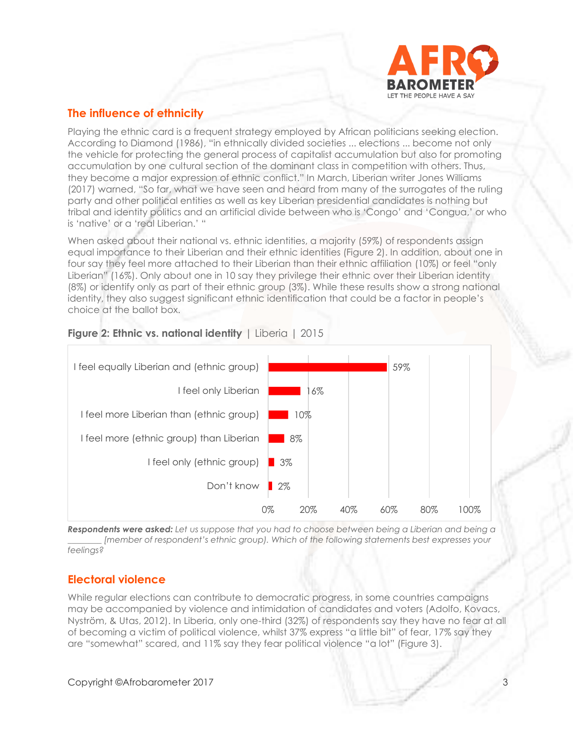

## **The influence of ethnicity**

Playing the ethnic card is a frequent strategy employed by African politicians seeking election. According to Diamond (1986), "in ethnically divided societies ... elections ... become not only the vehicle for protecting the general process of capitalist accumulation but also for promoting accumulation by one cultural section of the dominant class in competition with others. Thus, they become a major expression of ethnic conflict." In March, Liberian writer Jones Williams (2017) warned, "So far, what we have seen and heard from many of the surrogates of the ruling party and other political entities as well as key Liberian presidential candidates is nothing but tribal and identity politics and an artificial divide between who is 'Congo' and 'Congua,' or who is 'native' or a 'real Liberian.' "

When asked about their national vs. ethnic identities, a majority (59%) of respondents assign equal importance to their Liberian and their ethnic identities (Figure 2). In addition, about one in four say they feel more attached to their Liberian than their ethnic affiliation (10%) or feel "only Liberian" (16%). Only about one in 10 say they privilege their ethnic over their Liberian identity (8%) or identify only as part of their ethnic group (3%). While these results show a strong national identity, they also suggest significant ethnic identification that could be a factor in people's choice at the ballot box.



## **Figure 2: Ethnic vs. national identity | Liberia | 2015**

*Respondents were asked: Let us suppose that you had to choose between being a Liberian and being a \_\_\_\_\_\_\_\_ [member of respondent's ethnic group). Which of the following statements best expresses your feelings?* 

## **Electoral violence**

While regular elections can contribute to democratic progress, in some countries campaigns may be accompanied by violence and intimidation of candidates and voters (Adolfo, Kovacs, Nyström, & Utas, 2012). In Liberia, only one-third (32%) of respondents say they have no fear at all of becoming a victim of political violence, whilst 37% express "a little bit" of fear, 17% say they are "somewhat" scared, and 11% say they fear political violence "a lot" (Figure 3).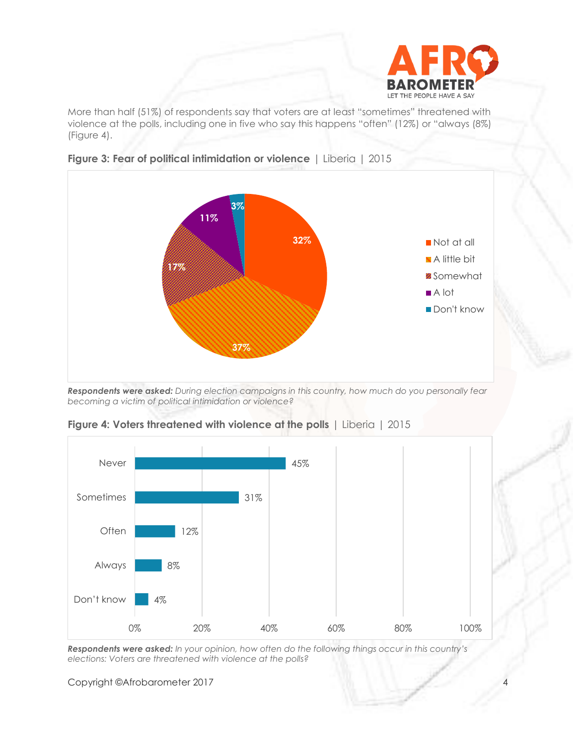

More than half (51%) of respondents say that voters are at least "sometimes" threatened with violence at the polls, including one in five who say this happens "often" (12%) or "always (8%) (Figure 4).





*Respondents were asked: During election campaigns in this country, how much do you personally fear becoming a victim of political intimidation or violence?*



**Figure 4: Voters threatened with violence at the polls** | Liberia | 2015

*Respondents were asked: In your opinion, how often do the following things occur in this country's elections: Voters are threatened with violence at the polls?*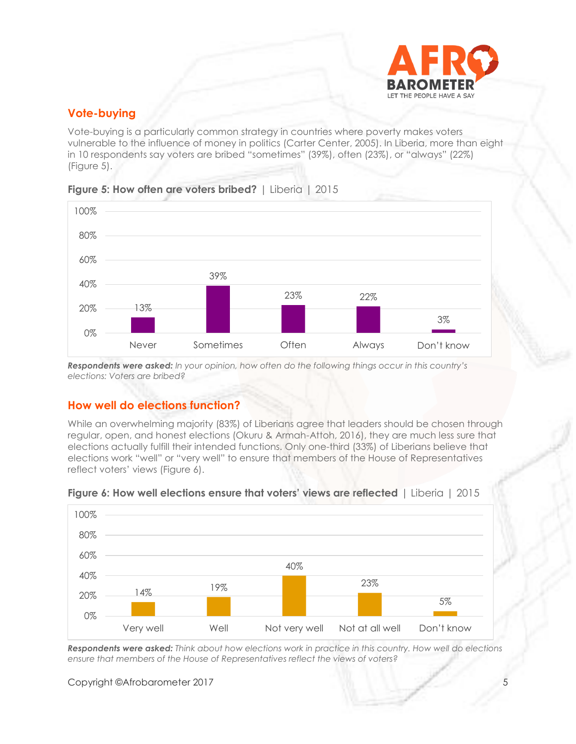

## **Vote-buying**

Vote-buying is a particularly common strategy in countries where poverty makes voters vulnerable to the influence of money in politics (Carter Center, 2005). In Liberia, more than eight in 10 respondents say voters are bribed "sometimes" (39%), often (23%), or "always" (22%) (Figure 5).



#### **Figure 5: How often are voters bribed?** | Liberia | 2015

*Respondents were asked: In your opinion, how often do the following things occur in this country's elections: Voters are bribed?*

#### **How well do elections function?**

While an overwhelming majority (83%) of Liberians agree that leaders should be chosen through regular, open, and honest elections (Okuru & Armah-Attoh, 2016), they are much less sure that elections actually fulfill their intended functions. Only one-third (33%) of Liberians believe that elections work "well" or "very well" to ensure that members of the House of Representatives reflect voters' views (Figure 6).



#### **Figure 6: How well elections ensure that voters' views are reflected** | Liberia | 2015

*Respondents were asked: Think about how elections work in practice in this country. How well do elections ensure that members of the House of Representatives reflect the views of voters?*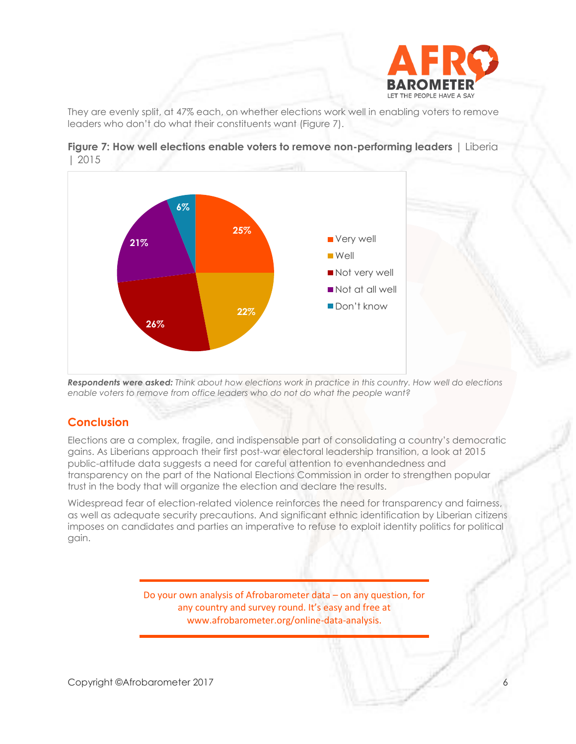

They are evenly split, at 47% each, on whether elections work well in enabling voters to remove leaders who don't do what their constituents want (Figure 7).



**Figure 7: How well elections enable voters to remove non-performing leaders** | Liberia | 2015

*Respondents were asked: Think about how elections work in practice in this country. How well do elections enable voters to remove from office leaders who do not do what the people want?*

## **Conclusion**

Elections are a complex, fragile, and indispensable part of consolidating a country's democratic gains. As Liberians approach their first post-war electoral leadership transition, a look at 2015 public-attitude data suggests a need for careful attention to evenhandedness and transparency on the part of the National Elections Commission in order to strengthen popular trust in the body that will organize the election and declare the results.

Widespread fear of election-related violence reinforces the need for transparency and fairness, as well as adequate security precautions. And significant ethnic identification by Liberian citizens imposes on candidates and parties an imperative to refuse to exploit identity politics for political gain.

> Do your own analysis of Afrobarometer data – on any question, for any country and survey round. It's easy and free at www.afrobarometer.org/online-data-analysis.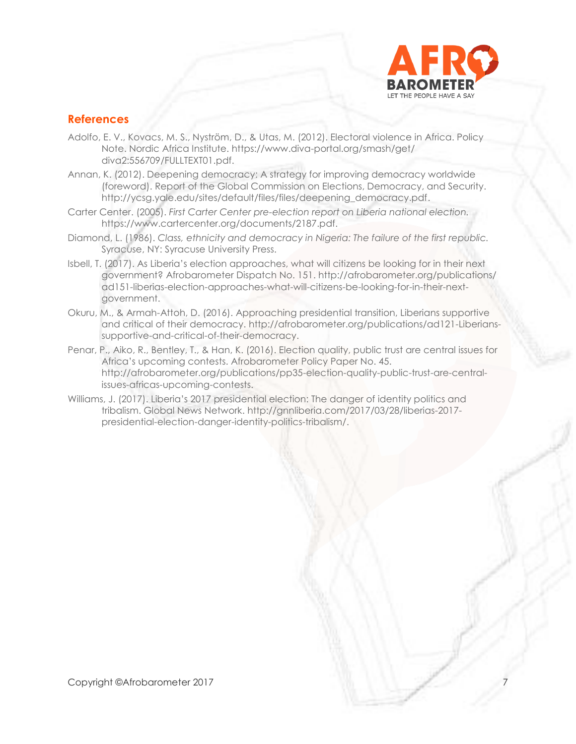

#### **References**

- Adolfo, E. V., Kovacs, M. S., Nyström, D., & Utas, M. (2012). Electoral violence in Africa. Policy Note. Nordic Africa Institute.<https://www.diva-portal.org/smash/get/> diva2:556709/FULLTEXT01.pdf.
- Annan, K. (2012). Deepening democracy: A strategy for improving democracy worldwide (foreword). Report of the Global Commission on Elections, Democracy, and Security. [http://ycsg.yale.edu/sites/default/files/files/deepening\\_democracy.pdf.](http://ycsg.yale.edu/sites/default/files/files/deepening_democracy.pdf)
- Carter Center. (2005). *First Carter Center pre-election report on Liberia national election.* https://www.cartercenter.org/documents/2187.pdf.
- Diamond, L. (1986). *Class, ethnicity and democracy in Nigeria: The failure of the first republic.*  Syracuse, NY: Syracuse University Press.
- Isbell, T. (2017). As Liberia's election approaches, what will citizens be looking for in their next government? Afrobarometer Dispatch No. 151. http://afrobarometer.org/publications/ ad151-liberias-election-approaches-what-will-citizens-be-looking-for-in-their-nextgovernment.
- Okuru, M., & Armah-Attoh, D. (2016). Approaching presidential transition, Liberians supportive and critical of their democracy. [http://afrobarometer.org/publications/ad121-Liberians](http://afrobarometer.org/publications/ad121-Liberians-supportive-and-critical-of-their-democracy)[supportive-and-critical-of-their-democracy.](http://afrobarometer.org/publications/ad121-Liberians-supportive-and-critical-of-their-democracy)
- Penar, P., Aiko, R., Bentley, T., & Han, K. (2016). Election quality, public trust are central issues for Africa's upcoming contests. Afrobarometer Policy Paper No. 45. [http://afrobarometer.org/publications/pp35-election-quality-public-trust-are-central](http://afrobarometer.org/publications/pp35-election-quality-public-trust-are-central-issues-africas-upcoming-contests)[issues-africas-upcoming-contests.](http://afrobarometer.org/publications/pp35-election-quality-public-trust-are-central-issues-africas-upcoming-contests)
- Williams, J. (2017). Liberia's 2017 presidential election: The danger of identity politics and tribalism. Global News Network. [http://gnnliberia.com/2017/03/28/liberias-2017](http://gnnliberia.com/2017/03/28/liberias-2017-presidential-election-danger-identity-politics-tribalism/) [presidential-election-danger-identity-politics-tribalism/.](http://gnnliberia.com/2017/03/28/liberias-2017-presidential-election-danger-identity-politics-tribalism/)